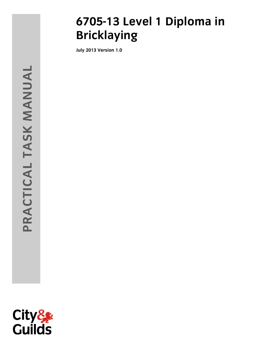# **6705-13 Level 1 Diploma in Bricklaying**

**July 2013 Version 1.0**

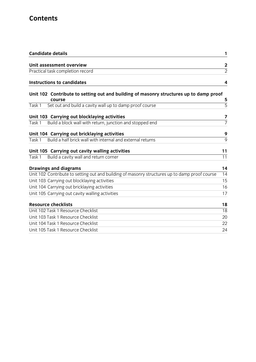# **Contents**

| <b>Candidate details</b><br>1                                                                                    |
|------------------------------------------------------------------------------------------------------------------|
| Unit assessment overview                                                                                         |
| $\frac{2}{2}$<br>Practical task completion record                                                                |
|                                                                                                                  |
| <b>Instructions to candidates</b><br>4                                                                           |
| Unit 102 Contribute to setting out and building of masonry structures up to damp proof<br>5<br>course            |
| $\overline{5}$<br>Set out and build a cavity wall up to damp proof course<br>Task 1                              |
| Unit 103 Carrying out blocklaying activities<br>7                                                                |
| $\overline{7}$<br>Build a block wall with return, junction and stopped end<br>Task 1                             |
| Unit 104 Carrying out bricklaying activities<br>9                                                                |
| 9<br>Build a half brick wall with internal and external returns<br>Task 1                                        |
| Unit 105 Carrying out cavity walling activities<br>11                                                            |
| Build a cavity wall and return corner<br>11<br>Task 1                                                            |
| 14<br><b>Drawings and diagrams</b>                                                                               |
| Unit 102 Contribute to setting out and building of masonry structures up to damp proof course<br>$\overline{14}$ |
| Unit 103 Carrying out blocklaying activities<br>15                                                               |
| Unit 104 Carrying out bricklaying activities<br>16                                                               |
| Unit 105 Carrying out cavity walling activities<br>17                                                            |
| <b>Resource checklists</b><br>18                                                                                 |
| Unit 102 Task 1 Resource Checklist<br>18                                                                         |
| Unit 103 Task 1 Resource Checklist<br>20                                                                         |
| Unit 104 Task 1 Resource Checklist<br>22                                                                         |
| Unit 105 Task 1 Resource Checklist<br>24                                                                         |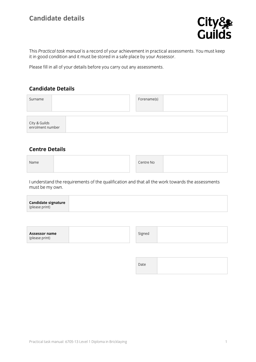# **Candidate details**



This *Practical task manual* is a record of your achievement in practical assessments. You must keep it in good condition and it must be stored in a safe place by your Assessor.

Please fill in all of your details before you carry out any assessments.

#### **Candidate Details**

| Surname                           |  | Forename(s) |  |
|-----------------------------------|--|-------------|--|
| City & Guilds<br>enrolment number |  |             |  |

#### **Centre Details**

| Name |  | Centre No |  |
|------|--|-----------|--|
|      |  |           |  |

I understand the requirements of the qualification and that all the work towards the assessments must be my own.

|--|--|

Date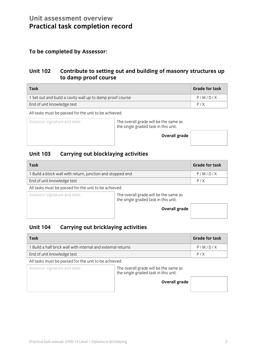# **Unit assessment overview Practical task completion record**

### **To be completed by Assessor:**

### **Unit 102 Contribute to setting out and building of masonry structures up to damp proof course**

| Task                                                      | <b>Grade for task</b> |
|-----------------------------------------------------------|-----------------------|
| 1 Set out and build a cavity wall up to damp proof course | P/M/D/X               |
| End of unit knowledge test                                | P/X                   |

All tasks must be passed for the unit to be achieved.

Assessor signature and date: The overall grade will be the same as the single graded task in this unit.

**Overall** gra

| ∣de |  |
|-----|--|
|     |  |

### **Unit 103 Carrying out blocklaying activities**

| Task                                                     | <b>Grade for task</b> |
|----------------------------------------------------------|-----------------------|
| Build a block wall with return, junction and stopped end | P/M/D/X               |
| End of unit knowledge test                               | P/X                   |

All tasks must be passed for the unit to be achieved.

Assessor signature and date: The overall grade will be the same as the single graded task in this unit.

**Overall grade** 



### **Unit 104 Carrying out bricklaying activities**

| Task                                                         | <b>Grade for task</b> |
|--------------------------------------------------------------|-----------------------|
| 1 Build a half brick wall with internal and external returns | P/M/D/X               |
| End of unit knowledge test                                   | P/X                   |

All tasks must be passed for the unit to be achieved.

Assessor signature and date: The overall grade will be the same as the single graded task in this unit.

**Overall grade**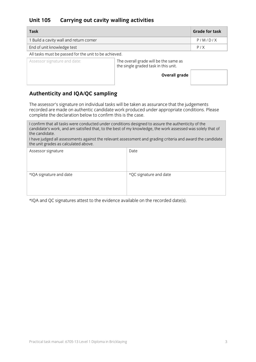### **Unit 105 Carrying out cavity walling activities**

| <b>Task</b>                             | <b>Grade for task</b> |
|-----------------------------------------|-----------------------|
| 1 Build a cavity wall and return corner | P/M/D/X               |
| End of unit knowledge test              | P/X                   |

All tasks must be passed for the unit to be achieved.

Assessor signature and date:  $\vert$  The overall grade will be the same as the single graded task in this unit.

**Overall grade** 

### **Authenticity and IQA/QC sampling**

The assessor's signature on individual tasks will be taken as assurance that the judgements recorded are made on authentic candidate work produced under appropriate conditions. Please complete the declaration below to confirm this is the case.

I confirm that all tasks were conducted under conditions designed to assure the authenticity of the candidate's work, and am satisfied that, to the best of my knowledge, the work assessed was solely that of the candidate.

I have judged all assessments against the relevant assessment and grading criteria and award the candidate the unit grades as calculated above.

| Assessor signature      | Date                   |
|-------------------------|------------------------|
| *IQA signature and date | *QC signature and date |

\*IQA and QC signatures attest to the evidence available on the recorded date(s).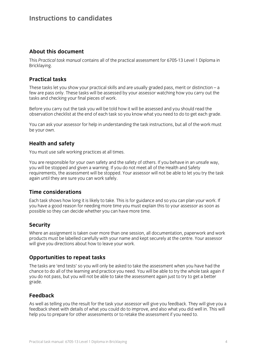### **Instructions to candidates**

#### **About this document**

This *Practical task manual* contains all of the practical assessment for 6705-13 Level 1 Diploma in Bricklaying.

#### **Practical tasks**

These tasks let you show your practical skills and are usually graded pass, merit or distinction – a few are pass only. These tasks will be assessed by your assessor watching how you carry out the tasks and checking your final pieces of work.

Before you carry out the task you will be told how it will be assessed and you should read the observation checklist at the end of each task so you know what you need to do to get each grade.

You can ask your assessor for help in understanding the task instructions, but all of the work must be your own.

#### **Health and safety**

You must use safe working practices at all times.

You are responsible for your own safety and the safety of others. If you behave in an unsafe way, you will be stopped and given a warning. If you do not meet all of the Health and Safety requirements, the assessment will be stopped. Your assessor will not be able to let you try the task again until they are sure you can work safely.

#### **Time considerations**

Each task shows how long it is likely to take. This is for guidance and so you can plan your work. If you have a good reason for needing more time you must explain this to your assessor as soon as possible so they can decide whether you can have more time.

#### **Security**

Where an assignment is taken over more than one session, all documentation, paperwork and work products must be labelled carefully with your name and kept securely at the centre. Your assessor will give you directions about how to leave your work.

#### **Opportunities to repeat tasks**

The tasks are 'end tests' so you will only be asked to take the assessment when you have had the chance to do all of the learning and practice you need. You will be able to try the whole task again if you do not pass, but you will not be able to take the assessment again just to try to get a better grade.

#### **Feedback**

As well as telling you the result for the task your assessor will give you feedback. They will give you a feedback sheet with details of what you could do to improve, and also what you did well in. This will help you to prepare for other assessments or to retake the assessment if you need to.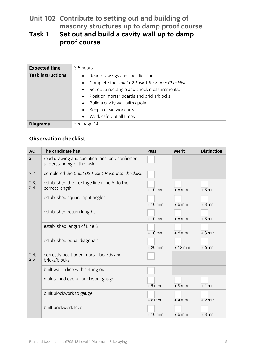# **Unit 102 Contribute to setting out and building of masonry structures up to damp proof course**

# **Task 1 Set out and build a cavity wall up to damp proof course**

| <b>Expected time</b>     | 3.5 hours                                                                                                                                                                                                                                                                                                          |
|--------------------------|--------------------------------------------------------------------------------------------------------------------------------------------------------------------------------------------------------------------------------------------------------------------------------------------------------------------|
| <b>Task instructions</b> | Read drawings and specifications.<br>$\bullet$<br>Complete the Unit 102 Task 1 Resource Checklist.<br>$\bullet$<br>Set out a rectangle and check measurements.<br>$\bullet$<br>Position mortar boards and bricks/blocks.<br>$\bullet$<br>Build a cavity wall with quoin.<br>$\bullet$<br>• Keep a clean work area. |
|                          | Work safely at all times.<br>$\bullet$                                                                                                                                                                                                                                                                             |
| <b>Diagrams</b>          | See page 14                                                                                                                                                                                                                                                                                                        |

| <b>AC</b>   | The candidate has                                                           | Pass      | <b>Merit</b> | <b>Distinction</b> |
|-------------|-----------------------------------------------------------------------------|-----------|--------------|--------------------|
| 2.1         | read drawing and specifications, and confirmed<br>understanding of the task |           |              |                    |
| 2.2         | completed the Unit 102 Task 1 Resource Checklist                            |           |              |                    |
| 2.3,<br>2.4 | established the frontage line (Line A) to the<br>correct length             | $± 10$ mm | $± 6$ mm     | $±$ 3 mm           |
|             | established square right angles                                             | $± 10$ mm | $± 6$ mm     | $±$ 3 mm           |
|             | established return lengths                                                  | $± 10$ mm | $± 6$ mm     | $±$ 3 mm           |
|             | established length of Line B                                                | $± 10$ mm | $± 6$ mm     | $±$ 3 mm           |
|             | established equal diagonals                                                 | $±$ 20 mm | $± 12$ mm    | $± 6$ mm           |
| 2.4,<br>2.5 | correctly positioned mortar boards and<br>bricks/blocks                     |           |              |                    |
|             | built wall in line with setting out                                         |           |              |                    |
|             | maintained overall brickwork gauge                                          | ± 5 mm    | $±$ 3 mm     | ± 1 mm             |
|             | built blockwork to gauge                                                    | $± 6$ mm  | $+4$ mm      | $±$ 2 mm           |
|             | built brickwork level                                                       | $± 10$ mm | $± 6$ mm     | $±$ 3 mm           |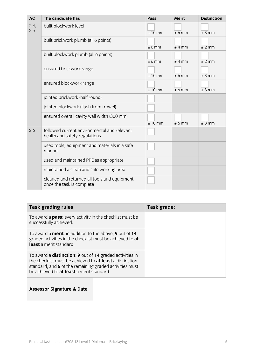| <b>AC</b>   | The candidate has                                                            | Pass      | <b>Merit</b> | <b>Distinction</b> |
|-------------|------------------------------------------------------------------------------|-----------|--------------|--------------------|
| 2.4,<br>2.5 | built blockwork level                                                        | $± 10$ mm | $± 6$ mm     | $±$ 3 mm           |
|             | built brickwork plumb (all 6 points)                                         | $± 6$ mm  | $±$ 4 mm     | $±$ 2 mm           |
|             | built blockwork plumb (all 6 points)                                         | $± 6$ mm  | $±$ 4 mm     | $±$ 2 mm           |
|             | ensured brickwork range                                                      | $± 10$ mm | $± 6$ mm     | $±$ 3 mm           |
|             | ensured blockwork range                                                      | $± 10$ mm | $± 6$ mm     | ± 3 mm             |
|             | jointed brickwork (half round)                                               |           |              |                    |
|             | jointed blockwork (flush from trowel)                                        |           |              |                    |
|             | ensured overall cavity wall width (300 mm)                                   | $± 10$ mm | $± 6$ mm     | ± 3 mm             |
| 2.6         | followed current environmental and relevant<br>health and safety regulations |           |              |                    |
|             | used tools, equipment and materials in a safe<br>manner                      |           |              |                    |
|             | used and maintained PPE as appropriate                                       |           |              |                    |
|             | maintained a clean and safe working area                                     |           |              |                    |
|             | cleaned and returned all tools and equipment<br>once the task is complete    |           |              |                    |

| <b>Task grading rules</b>                                                                                                                                                                                                                  | Task grade: |
|--------------------------------------------------------------------------------------------------------------------------------------------------------------------------------------------------------------------------------------------|-------------|
| To award a <b>pass</b> : every activity in the checklist must be<br>successfully achieved.                                                                                                                                                 |             |
| To award a <b>merit</b> : in addition to the above, 9 out of 14<br>graded activities in the checklist must be achieved to at<br>least a merit standard.                                                                                    |             |
| To award a <b>distinction: 9</b> out of 14 graded activities in<br>the checklist must be achieved to <b>at least</b> a distinction<br>standard, and 5 of the remaining graded activities must<br>be achieved to at least a merit standard. |             |
| <b>Assessor Signature &amp; Date</b>                                                                                                                                                                                                       |             |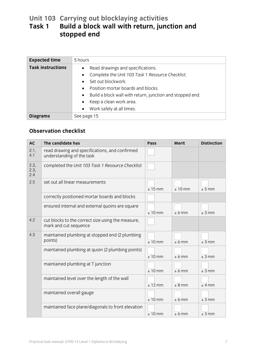# **Unit 103 Carrying out blocklaying activities Task 1 Build a block wall with return, junction and stopped end**

| <b>Expected time</b>     | 5 hours                                                                                                                                                                                                                                                                                                                                                           |
|--------------------------|-------------------------------------------------------------------------------------------------------------------------------------------------------------------------------------------------------------------------------------------------------------------------------------------------------------------------------------------------------------------|
| <b>Task instructions</b> | Read drawings and specifications.<br>$\bullet$<br>Complete the Unit 103 Task 1 Resource Checklist.<br>$\bullet$<br>Set out blockwork.<br>$\bullet$<br>Position mortar boards and blocks.<br>$\bullet$<br>Build a block wall with return, junction and stopped end.<br>$\bullet$<br>Keep a clean work area.<br>$\bullet$<br>Work safely at all times.<br>$\bullet$ |
| <b>Diagrams</b>          | See page 15                                                                                                                                                                                                                                                                                                                                                       |

| <b>AC</b>           | The candidate has                                                           | Pass      | <b>Merit</b> | <b>Distinction</b> |
|---------------------|-----------------------------------------------------------------------------|-----------|--------------|--------------------|
| 2.1,<br>4.1         | read drawing and specifications, and confirmed<br>understanding of the task |           |              |                    |
| 2.2,<br>2.3,<br>2.4 | completed the Unit 103 Task 1 Resource Checklist                            |           |              |                    |
| 2.5                 | set out all linear measurements                                             | $± 15$ mm | $± 10$ mm    | ± 5 mm             |
|                     | correctly positioned mortar boards and blocks                               |           |              |                    |
|                     | ensured internal and external quoins are square                             | $± 10$ mm | $± 6$ mm     | $±$ 3 mm           |
| 4.2                 | cut blocks to the correct size using the measure,<br>mark and cut sequence  |           |              |                    |
| 4.3                 | maintained plumbing at stopped end (2 plumbing<br>points)                   | $± 10$ mm | $± 6$ mm     | ± 3 mm             |
|                     | maintained plumbing at quoin (2 plumbing points)                            | $± 10$ mm | $± 6$ mm     | $±$ 3 mm           |
|                     | maintained plumbing at T junction                                           | $± 10$ mm | $± 6$ mm     | $±$ 3 mm           |
|                     | maintained level over the length of the wall                                | $± 12$ mm | $± 8$ mm     | $±$ 4 mm           |
|                     | maintained overall gauge                                                    | $± 10$ mm | $± 6$ mm     | $±$ 3 mm           |
|                     | maintained face plane/diagonals to front elevation                          | $± 10$ mm | ± 6 mm       | $±$ 3 mm           |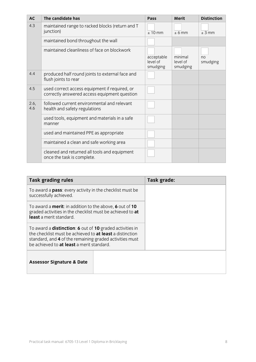| <b>AC</b>   | The candidate has                                                                             | Pass                               | Merit                           | <b>Distinction</b> |
|-------------|-----------------------------------------------------------------------------------------------|------------------------------------|---------------------------------|--------------------|
| 4.3         | maintained range to racked blocks (return and T<br>junction)                                  | $± 10$ mm                          | $± 6$ mm                        | $±$ 3 mm           |
|             | maintained bond throughout the wall                                                           |                                    |                                 |                    |
|             | maintained cleanliness of face on blockwork                                                   | acceptable<br>level of<br>smudging | minimal<br>level of<br>smudging | no<br>smudging     |
| 4.4         | produced half round joints to external face and<br>flush joints to rear                       |                                    |                                 |                    |
| 4.5         | used correct access equipment if required, or<br>correctly answered access equipment question |                                    |                                 |                    |
| 2.6,<br>4.6 | followed current environmental and relevant<br>health and safety regulations                  |                                    |                                 |                    |
|             | used tools, equipment and materials in a safe<br>manner                                       |                                    |                                 |                    |
|             | used and maintained PPE as appropriate                                                        |                                    |                                 |                    |
|             | maintained a clean and safe working area                                                      |                                    |                                 |                    |
|             | cleaned and returned all tools and equipment<br>once the task is complete.                    |                                    |                                 |                    |

| <b>Task grading rules</b>                                                                                                                                                                                                                  |  | Task grade: |
|--------------------------------------------------------------------------------------------------------------------------------------------------------------------------------------------------------------------------------------------|--|-------------|
| To award a <b>pass</b> : every activity in the checklist must be<br>successfully achieved.                                                                                                                                                 |  |             |
| To award a <b>merit</b> : in addition to the above, 6 out of 10<br>graded activities in the checklist must be achieved to at<br>least a merit standard.                                                                                    |  |             |
| To award a <b>distinction: 6</b> out of 10 graded activities in<br>the checklist must be achieved to <b>at least</b> a distinction<br>standard, and 4 of the remaining graded activities must<br>be achieved to at least a merit standard. |  |             |
| <b>Assessor Signature &amp; Date</b>                                                                                                                                                                                                       |  |             |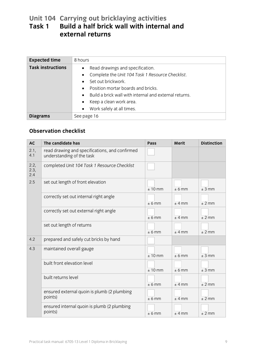## **Unit 104 Carrying out bricklaying activities Task 1 Build a half brick wall with internal and external returns**

| <b>Expected time</b>     | 8 hours                                                                                                                                                                                                                                                                                                                                                       |
|--------------------------|---------------------------------------------------------------------------------------------------------------------------------------------------------------------------------------------------------------------------------------------------------------------------------------------------------------------------------------------------------------|
| <b>Task instructions</b> | Read drawings and specification.<br>$\bullet$<br>Complete the Unit 104 Task 1 Resource Checklist.<br>$\bullet$<br>Set out brickwork.<br>$\bullet$<br>Position mortar boards and bricks.<br>$\bullet$<br>Build a brick wall with internal and external returns.<br>$\bullet$<br>Keep a clean work area.<br>$\bullet$<br>Work safely at all times.<br>$\bullet$ |
| <b>Diagrams</b>          | See page 16                                                                                                                                                                                                                                                                                                                                                   |

| <b>AC</b>           | The candidate has                                                           | Pass      | <b>Merit</b> | <b>Distinction</b> |
|---------------------|-----------------------------------------------------------------------------|-----------|--------------|--------------------|
| 2.1,<br>4.1         | read drawing and specifications, and confirmed<br>understanding of the task |           |              |                    |
| 2.2,<br>2.3,<br>2.4 | completed Unit 104 Task 1 Resource Checklist                                |           |              |                    |
| 2.5                 | set out length of front elevation                                           | $± 10$ mm | $± 6$ mm     | $±$ 3 mm           |
|                     | correctly set out internal right angle                                      | $± 6$ mm  | $±$ 4 mm     | $±$ 2 mm           |
|                     | correctly set out external right angle                                      | $± 6$ mm  | $±$ 4 mm     | $±$ 2 mm           |
|                     | set out length of returns                                                   | $± 6$ mm  | $±$ 4 mm     | $±$ 2 mm           |
| 4.2                 | prepared and safely cut bricks by hand                                      |           |              |                    |
| 4.3                 | maintained overall gauge                                                    | $± 10$ mm | $± 6$ mm     | $±$ 3 mm           |
|                     | built front elevation level                                                 | $± 10$ mm | $± 6$ mm     | $±$ 3 mm           |
|                     | built returns level                                                         | $± 6$ mm  | $±$ 4 mm     | $±$ 2 mm           |
|                     | ensured external quoin is plumb (2 plumbing<br>points)                      | $± 6$ mm  | $±$ 4 mm     | $±$ 2 mm           |
|                     | ensured internal quoin is plumb (2 plumbing<br>points)                      | $± 6$ mm  | $±$ 4 mm     | $±$ 2 mm           |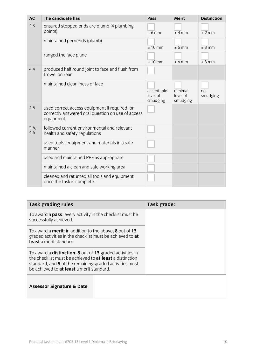| <b>AC</b>   | The candidate has                                                                                               | Pass                               | <b>Merit</b>                    | <b>Distinction</b> |
|-------------|-----------------------------------------------------------------------------------------------------------------|------------------------------------|---------------------------------|--------------------|
| 4.3         | ensured stopped ends are plumb (4 plumbing<br>points)                                                           | $± 6$ mm                           | $+4$ mm                         | ± 2 mm             |
|             | maintained perpends (plumb)                                                                                     | $± 10$ mm                          | $± 6$ mm                        | $±$ 3 mm           |
|             | ranged the face plane                                                                                           | $± 10$ mm                          | $± 6$ mm                        | ± 3 mm             |
| 4.4         | produced half round joint to face and flush from<br>trowel on rear                                              |                                    |                                 |                    |
|             | maintained cleanliness of face                                                                                  | acceptable<br>level of<br>smudging | minimal<br>level of<br>smudging | no<br>smudging     |
| 4.5         | used correct access equipment if required, or<br>correctly answered oral question on use of access<br>equipment |                                    |                                 |                    |
| 2.6,<br>4.6 | followed current environmental and relevant<br>health and safety regulations                                    |                                    |                                 |                    |
|             | used tools, equipment and materials in a safe<br>manner                                                         |                                    |                                 |                    |
|             | used and maintained PPE as appropriate                                                                          |                                    |                                 |                    |
|             | maintained a clean and safe working area                                                                        |                                    |                                 |                    |
|             | cleaned and returned all tools and equipment<br>once the task is complete.                                      |                                    |                                 |                    |

| <b>Task grading rules</b>                                                                                                                                                                                                                  | Task grade: |
|--------------------------------------------------------------------------------------------------------------------------------------------------------------------------------------------------------------------------------------------|-------------|
| To award a <b>pass</b> : every activity in the checklist must be<br>successfully achieved.                                                                                                                                                 |             |
| To award a <b>merit</b> : in addition to the above, 8 out of 13<br>graded activities in the checklist must be achieved to at<br>least a merit standard.                                                                                    |             |
| To award a <b>distinction: 8</b> out of 13 graded activities in<br>the checklist must be achieved to <b>at least</b> a distinction<br>standard, and 5 of the remaining graded activities must<br>be achieved to at least a merit standard. |             |
| <b>Assessor Signature &amp; Date</b>                                                                                                                                                                                                       |             |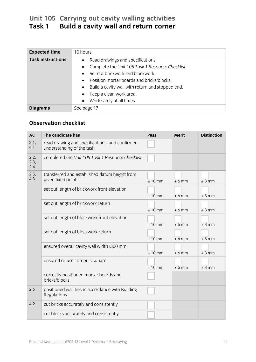# **Unit 105 Carrying out cavity walling activities Task 1 Build a cavity wall and return corner**

| <b>Expected time</b>     | 10 hours                                                      |
|--------------------------|---------------------------------------------------------------|
| <b>Task instructions</b> | Read drawings and specifications.<br>$\bullet$                |
|                          | Complete the Unit 105 Task 1 Resource Checklist.<br>$\bullet$ |
|                          | Set out brickwork and blockwork.<br>$\bullet$                 |
|                          | Position mortar boards and bricks/blocks.<br>$\bullet$        |
|                          | Build a cavity wall with return and stopped end.<br>$\bullet$ |
|                          | Keep a clean work area.<br>$\bullet$                          |
|                          | Work safely at all times.<br>$\bullet$                        |
| <b>Diagrams</b>          | See page 17                                                   |

| <b>AC</b>           | The candidate has                                                           | Pass      | <b>Merit</b> | <b>Distinction</b> |
|---------------------|-----------------------------------------------------------------------------|-----------|--------------|--------------------|
| 2.1,<br>4.1         | read drawing and specifications, and confirmed<br>understanding of the task |           |              |                    |
| 2.2,<br>2.3,<br>2.4 | completed the Unit 105 Task 1 Resource Checklist                            |           |              |                    |
| 2.5,<br>4.3         | transferred and established datum height from<br>given fixed point          | $± 10$ mm | ± 6 mm       | $±$ 3 mm           |
|                     | set out length of brickwork front elevation                                 | $± 10$ mm | $± 6$ mm     | $±$ 3 mm           |
|                     | set out length of brickwork return                                          | $± 10$ mm | $± 6$ mm     | $±$ 3 mm           |
|                     | set out length of blockwork front elevation                                 | $± 10$ mm | $± 6$ mm     | ± 3 mm             |
|                     | set out length of blockwork return                                          | $± 10$ mm | $± 6$ mm     | $±$ 3 mm           |
|                     | ensured overall cavity wall width (300 mm)                                  | $± 10$ mm | $± 6$ mm     | $±$ 3 mm           |
|                     | ensured return corner is square                                             | $± 10$ mm | $± 6$ mm     | ± 3 mm             |
|                     | correctly positioned mortar boards and<br>bricks/blocks                     |           |              |                    |
| 2.6                 | positioned wall ties in accordance with Building<br>Regulations             |           |              |                    |
| 4.2                 | cut bricks accurately and consistently                                      |           |              |                    |
|                     | cut blocks accurately and consistently                                      |           |              |                    |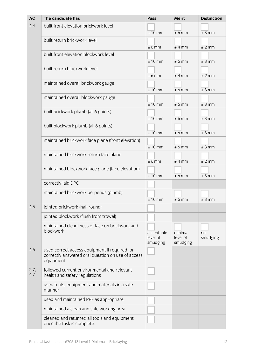| <b>AC</b>   | The candidate has                                                                                               | Pass                               | <b>Merit</b>                    | <b>Distinction</b> |
|-------------|-----------------------------------------------------------------------------------------------------------------|------------------------------------|---------------------------------|--------------------|
| 4.4         | built front elevation brickwork level                                                                           | $± 10$ mm                          | ± 6 mm                          | $±$ 3 mm           |
|             | built return brickwork level                                                                                    | ± 6 mm                             | $±$ 4 mm                        | $±$ 2 mm           |
|             | built front elevation blockwork level                                                                           | $± 10$ mm                          | $± 6$ mm                        | $±$ 3 mm           |
|             | built return blockwork level                                                                                    | ± 6 mm                             | $±$ 4 mm                        | $±$ 2 mm           |
|             | maintained overall brickwork gauge                                                                              | $\pm$ 10 mm                        | ± 6 mm                          | ± 3 mm             |
|             | maintained overall blockwork gauge                                                                              | $± 10$ mm                          | ± 6 mm                          | $±$ 3 mm           |
|             | built brickwork plumb (all 6 points)                                                                            | $± 10$ mm                          | ± 6 mm                          | $±$ 3 mm           |
|             | built blockwork plumb (all 6 points)                                                                            | $± 10$ mm                          | ± 6 mm                          | $±$ 3 mm           |
|             | maintained brickwork face plane (front elevation)                                                               | $± 10$ mm                          | ± 6 mm                          | $±$ 3 mm           |
|             | maintained brickwork return face plane                                                                          | ± 6 mm                             | $±$ 4 mm                        | ± 2 mm             |
|             | maintained blockwork face plane (face elevation)                                                                | $± 10$ mm                          | ± 6 mm                          | $±$ 3 mm           |
|             | correctly laid DPC                                                                                              |                                    |                                 |                    |
|             | maintained brickwork perpends (plumb)                                                                           | $± 10$ mm                          | $± 6$ mm                        | $±$ 3 mm           |
| 4.5         | jointed brickwork (half round)                                                                                  |                                    |                                 |                    |
|             | jointed blockwork (flush from trowel)                                                                           |                                    |                                 |                    |
|             | maintained cleanliness of face on brickwork and<br>blockwork                                                    | acceptable<br>level of<br>smudging | minimal<br>level of<br>smudging | no<br>smudging     |
| 4.6         | used correct access equipment if required, or<br>correctly answered oral question on use of access<br>equipment |                                    |                                 |                    |
| 2.7,<br>4.7 | followed current environmental and relevant<br>health and safety regulations                                    |                                    |                                 |                    |
|             | used tools, equipment and materials in a safe<br>manner                                                         |                                    |                                 |                    |
|             | used and maintained PPE as appropriate                                                                          |                                    |                                 |                    |
|             | maintained a clean and safe working area                                                                        |                                    |                                 |                    |
|             | cleaned and returned all tools and equipment<br>once the task is complete.                                      |                                    |                                 |                    |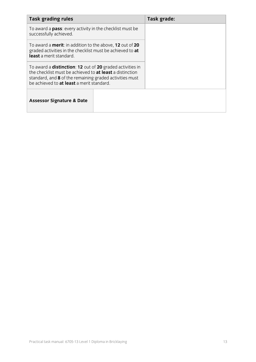| <b>Task grading rules</b>                                                                                                                                                                                                                    |  | Task grade: |
|----------------------------------------------------------------------------------------------------------------------------------------------------------------------------------------------------------------------------------------------|--|-------------|
| To award a <b>pass</b> : every activity in the checklist must be<br>successfully achieved.                                                                                                                                                   |  |             |
| To award a <b>merit</b> : in addition to the above, 12 out of 20<br>graded activities in the checklist must be achieved to at<br>least a merit standard.                                                                                     |  |             |
| To award a <b>distinction</b> : 12 out of 20 graded activities in<br>the checklist must be achieved to <b>at least</b> a distinction<br>standard, and 8 of the remaining graded activities must<br>be achieved to at least a merit standard. |  |             |
| <b>Assessor Signature &amp; Date</b>                                                                                                                                                                                                         |  |             |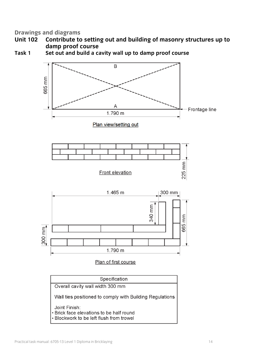- **Unit 102 Contribute to setting out and building of masonry structures up to damp proof course**
- **Task 1 Set out and build a cavity wall up to damp proof course**



Wall ties positioned to comply with Building Regulations

Joint Finish:

- · Brick face elevations to be half round
- Blockwork to be left flush from trowel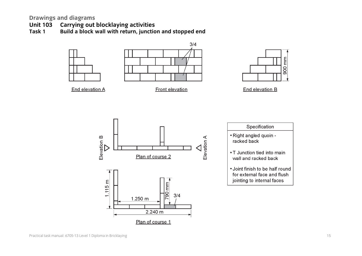- **Unit 103 Carrying out blocklaying activities**
- **Task 1 Build a block wall with return, junction and stopped end**













| Specification                                                                                |
|----------------------------------------------------------------------------------------------|
| • Right angled quoin -<br>racked back                                                        |
| • T Junction tied into main<br>wall and racked back                                          |
| • Joint finish to be half round<br>for external face and flush<br>jointing to internal faces |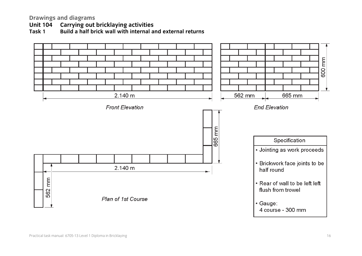**Unit 104 Carrying out bricklaying activities**

**Task 1 Build a half brick wall with internal and external returns**

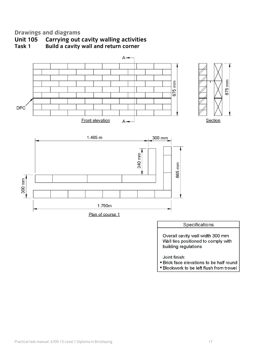



Overall cavity wall width 300 mm Wall ties positioned to comply with building regulations

Joint finish:

- Brick face elevations to be half round
- · Blockwork to be left flush from trowel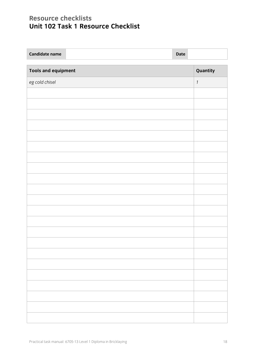# **Resource checklists Unit 102 Task 1 Resource Checklist**

| <b>Candidate name</b>      |  | Date |          |
|----------------------------|--|------|----------|
| <b>Tools and equipment</b> |  |      | Quantity |
| eg cold chisel             |  |      | $\it 1$  |
|                            |  |      |          |
|                            |  |      |          |
|                            |  |      |          |
|                            |  |      |          |
|                            |  |      |          |
|                            |  |      |          |
|                            |  |      |          |
|                            |  |      |          |
|                            |  |      |          |
|                            |  |      |          |
|                            |  |      |          |
|                            |  |      |          |
|                            |  |      |          |
|                            |  |      |          |
|                            |  |      |          |
|                            |  |      |          |
|                            |  |      |          |
|                            |  |      |          |
|                            |  |      |          |
|                            |  |      |          |
|                            |  |      |          |
|                            |  |      |          |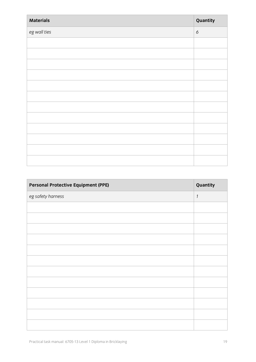| <b>Materials</b> | Quantity |
|------------------|----------|
| eg wall ties     | 6        |
|                  |          |
|                  |          |
|                  |          |
|                  |          |
|                  |          |
|                  |          |
|                  |          |
|                  |          |
|                  |          |
|                  |          |
|                  |          |
|                  |          |

| <b>Personal Protective Equipment (PPE)</b> | Quantity      |
|--------------------------------------------|---------------|
| eg safety harness                          | $\mathcal{I}$ |
|                                            |               |
|                                            |               |
|                                            |               |
|                                            |               |
|                                            |               |
|                                            |               |
|                                            |               |
|                                            |               |
|                                            |               |
|                                            |               |
|                                            |               |
|                                            |               |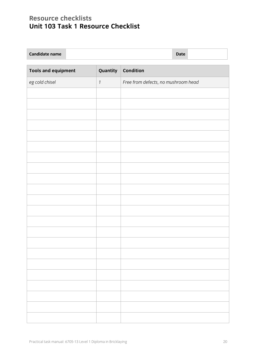# **Resource checklists Unit 103 Task 1 Resource Checklist**

| <b>Candidate name</b> | <b>Date</b> |  |
|-----------------------|-------------|--|
|-----------------------|-------------|--|

| <b>Tools and equipment</b> | Quantity     | Condition                           |
|----------------------------|--------------|-------------------------------------|
| eg cold chisel             | $\mathbf{1}$ | Free from defects, no mushroom head |
|                            |              |                                     |
|                            |              |                                     |
|                            |              |                                     |
|                            |              |                                     |
|                            |              |                                     |
|                            |              |                                     |
|                            |              |                                     |
|                            |              |                                     |
|                            |              |                                     |
|                            |              |                                     |
|                            |              |                                     |
|                            |              |                                     |
|                            |              |                                     |
|                            |              |                                     |
|                            |              |                                     |
|                            |              |                                     |
|                            |              |                                     |
|                            |              |                                     |
|                            |              |                                     |
|                            |              |                                     |
|                            |              |                                     |
|                            |              |                                     |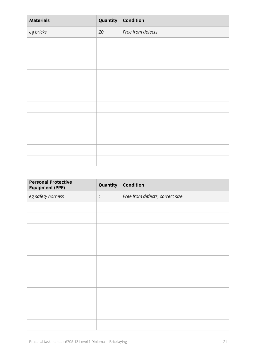| <b>Materials</b> | Quantity | <b>Condition</b>  |
|------------------|----------|-------------------|
| eg bricks        | $20\,$   | Free from defects |
|                  |          |                   |
|                  |          |                   |
|                  |          |                   |
|                  |          |                   |
|                  |          |                   |
|                  |          |                   |
|                  |          |                   |
|                  |          |                   |
|                  |          |                   |
|                  |          |                   |
|                  |          |                   |
|                  |          |                   |

| <b>Personal Protective</b><br><b>Equipment (PPE)</b> | Quantity      | <b>Condition</b>                |
|------------------------------------------------------|---------------|---------------------------------|
| eg safety harness                                    | $\mathcal{I}$ | Free from defects, correct size |
|                                                      |               |                                 |
|                                                      |               |                                 |
|                                                      |               |                                 |
|                                                      |               |                                 |
|                                                      |               |                                 |
|                                                      |               |                                 |
|                                                      |               |                                 |
|                                                      |               |                                 |
|                                                      |               |                                 |
|                                                      |               |                                 |
|                                                      |               |                                 |
|                                                      |               |                                 |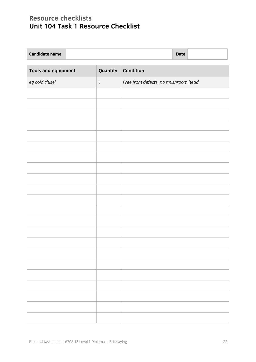# **Resource checklists Unit 104 Task 1 Resource Checklist**

| <b>Candidate name</b> | <b>Date</b> |  |
|-----------------------|-------------|--|
|-----------------------|-------------|--|

| <b>Tools and equipment</b> | Quantity     | Condition                           |
|----------------------------|--------------|-------------------------------------|
| eg cold chisel             | $\mathbf{1}$ | Free from defects, no mushroom head |
|                            |              |                                     |
|                            |              |                                     |
|                            |              |                                     |
|                            |              |                                     |
|                            |              |                                     |
|                            |              |                                     |
|                            |              |                                     |
|                            |              |                                     |
|                            |              |                                     |
|                            |              |                                     |
|                            |              |                                     |
|                            |              |                                     |
|                            |              |                                     |
|                            |              |                                     |
|                            |              |                                     |
|                            |              |                                     |
|                            |              |                                     |
|                            |              |                                     |
|                            |              |                                     |
|                            |              |                                     |
|                            |              |                                     |
|                            |              |                                     |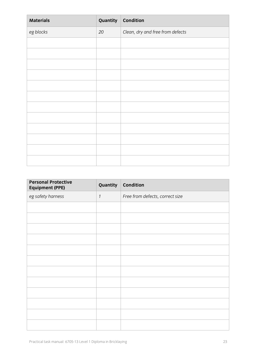| <b>Materials</b> | Quantity | Condition                        |
|------------------|----------|----------------------------------|
| eg blocks        | 20       | Clean, dry and free from defects |
|                  |          |                                  |
|                  |          |                                  |
|                  |          |                                  |
|                  |          |                                  |
|                  |          |                                  |
|                  |          |                                  |
|                  |          |                                  |
|                  |          |                                  |
|                  |          |                                  |
|                  |          |                                  |
|                  |          |                                  |
|                  |          |                                  |

| <b>Personal Protective</b><br><b>Equipment (PPE)</b> | Quantity      | <b>Condition</b>                |
|------------------------------------------------------|---------------|---------------------------------|
| eg safety harness                                    | $\mathcal{I}$ | Free from defects, correct size |
|                                                      |               |                                 |
|                                                      |               |                                 |
|                                                      |               |                                 |
|                                                      |               |                                 |
|                                                      |               |                                 |
|                                                      |               |                                 |
|                                                      |               |                                 |
|                                                      |               |                                 |
|                                                      |               |                                 |
|                                                      |               |                                 |
|                                                      |               |                                 |
|                                                      |               |                                 |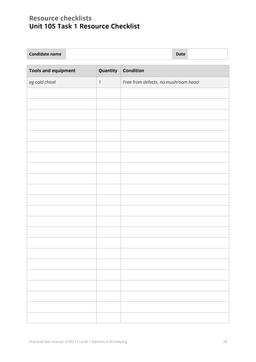# **Resource checklists Unit 105 Task 1 Resource Checklist**

| <b>Candidate name</b> | <b>Date</b> |  |
|-----------------------|-------------|--|
|-----------------------|-------------|--|

| <b>Tools and equipment</b> | Quantity     | Condition                           |
|----------------------------|--------------|-------------------------------------|
| eg cold chisel             | $\mathbf{1}$ | Free from defects, no mushroom head |
|                            |              |                                     |
|                            |              |                                     |
|                            |              |                                     |
|                            |              |                                     |
|                            |              |                                     |
|                            |              |                                     |
|                            |              |                                     |
|                            |              |                                     |
|                            |              |                                     |
|                            |              |                                     |
|                            |              |                                     |
|                            |              |                                     |
|                            |              |                                     |
|                            |              |                                     |
|                            |              |                                     |
|                            |              |                                     |
|                            |              |                                     |
|                            |              |                                     |
|                            |              |                                     |
|                            |              |                                     |
|                            |              |                                     |
|                            |              |                                     |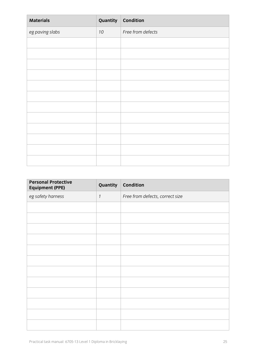| <b>Materials</b> | Quantity | Condition         |
|------------------|----------|-------------------|
| eg paving slabs  | $10\,$   | Free from defects |
|                  |          |                   |
|                  |          |                   |
|                  |          |                   |
|                  |          |                   |
|                  |          |                   |
|                  |          |                   |
|                  |          |                   |
|                  |          |                   |
|                  |          |                   |
|                  |          |                   |
|                  |          |                   |
|                  |          |                   |

| <b>Personal Protective</b><br><b>Equipment (PPE)</b> | Quantity      | <b>Condition</b>                |
|------------------------------------------------------|---------------|---------------------------------|
| eg safety harness                                    | $\mathcal{I}$ | Free from defects, correct size |
|                                                      |               |                                 |
|                                                      |               |                                 |
|                                                      |               |                                 |
|                                                      |               |                                 |
|                                                      |               |                                 |
|                                                      |               |                                 |
|                                                      |               |                                 |
|                                                      |               |                                 |
|                                                      |               |                                 |
|                                                      |               |                                 |
|                                                      |               |                                 |
|                                                      |               |                                 |